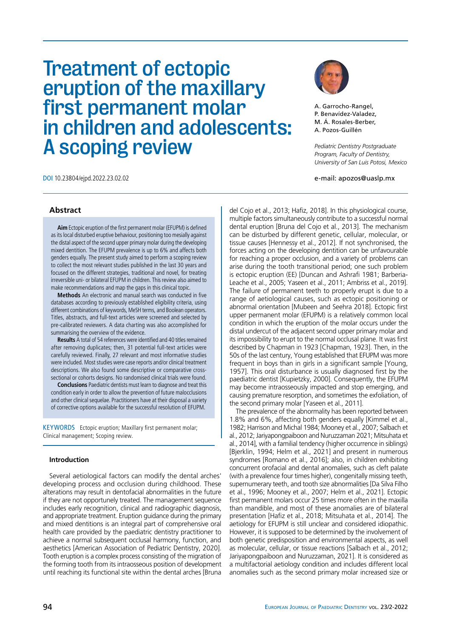Treatment of ectopic eruption of the maxillary first permanent molar in children and adolescents: A scoping review



A. Garrocho-Rangel, P. Benavídez-Valadez, M. Á. Rosales-Berber, A. Pozos-Guillén

*Pediatric Dentistry Postgraduate Program, Faculty of Dentistry, University of San Luis Potosi, Mexico*

e-mail: apozos@uaslp.mx

DOI 10.23804/ejpd.2022.23.02.02

# **Abstract**

**Aim** Ectopic eruption of the first permanent molar (EFUPM) is defined as its local disturbed eruptive behaviour, positioning too mesially against the distal aspect of the second upper primary molar during the developing mixed dentition. The EFUPM prevalence is up to 6% and affects both genders equally. The present study aimed to perform a scoping review to collect the most relevant studies published in the last 30 years and focused on the different strategies, traditional and novel, for treating irreversible uni- or bilateral EFUPM in children. This review also aimed to make recommendations and map the gaps in this clinical topic.

**Methods** An electronic and manual search was conducted in five databases according to previously established eligibility criteria, using different combinations of keywords, MeSH terms, and Boolean operators. Titles, abstracts, and full-text articles were screened and selected by pre-calibrated reviewers. A data charting was also accomplished for summarising the overview of the evidence.

**Results** A total of 54 references were identified and 40 titles remained after removing duplicates; then, 31 potential full-text articles were carefully reviewed. Finally, 27 relevant and most informative studies were included. Most studies were case reports and/or clinical treatment descriptions. We also found some descriptive or comparative crosssectional or cohorts designs. No randomised clinical trials were found.

**Conclusions** Paediatric dentists must learn to diagnose and treat this condition early in order to allow the prevention of future malocclusions and other clinical sequelae. Practitioners have at their disposal a variety of corrective options available for the successful resolution of EFUPM.

KEYWORDS Ectopic eruption; Maxillary first permanent molar; Clinical management; Scoping review.

## **Introduction**

Several aetiological factors can modify the dental arches' developing process and occlusion during childhood. These alterations may result in dentofacial abnormalities in the future if they are not opportunely treated. The management sequence includes early recognition, clinical and radiographic diagnosis, and appropriate treatment. Eruption guidance during the primary and mixed dentitions is an integral part of comprehensive oral health care provided by the paediatric dentistry practitioner to achieve a normal subsequent occlusal harmony, function, and aesthetics [American Association of Pediatric Dentistry, 2020]. Tooth eruption is a complex process consisting of the migration of the forming tooth from its intraosseous position of development until reaching its functional site within the dental arches [Bruna

del Cojo et al., 2013; Hafiz, 2018]. In this physiological course, multiple factors simultaneously contribute to a successful normal dental eruption [Bruna del Cojo et al., 2013]. The mechanism can be disturbed by different genetic, cellular, molecular, or tissue causes [Hennessy et al., 2012]. If not synchronised, the forces acting on the developing dentition can be unfavourable for reaching a proper occlusion, and a variety of problems can arise during the tooth transitional period; one such problem is ectopic eruption (EE) [Duncan and Ashrafi 1981; Barberia-Leache et al., 2005; Yaseen et al., 2011; Ambriss et al., 2019]. The failure of permanent teeth to properly erupt is due to a range of aetiological causes, such as ectopic positioning or abnormal orientation [Mubeen and Seehra 2018]. Ectopic first upper permanent molar (EFUPM) is a relatively common local condition in which the eruption of the molar occurs under the distal undercut of the adjacent second upper primary molar and its impossibility to erupt to the normal occlusal plane. It was first described by Chapman in 1923 [Chapman, 1923]. Then, in the 50s of the last century, Young established that EFUPM was more frequent in boys than in girls in a significant sample [Young, 1957]. This oral disturbance is usually diagnosed first by the paediatric dentist [Kupietzky, 2000]. Consequently, the EFUPM may become intraosseously impacted and stop emerging, and causing premature resorption, and sometimes the exfoliation, of the second primary molar [Yaseen et al., 2011].

The prevalence of the abnormality has been reported between 1.8% and 6%, affecting both genders equally [Kimmel et al., 1982; Harrison and Michal 1984; Mooney et al., 2007; Salbach et al., 2012; Jariyapongpaiboon and Nuruzzaman 2021; Mitsuhata et al., 2014], with a familial tendency (higher occurrence in siblings) [Bjerklin, 1994; Helm et al., 2021] and present in numerous syndromes [Romano et al., 2016]; also, in children exhibiting concurrent orofacial and dental anomalies, such as cleft palate (with a prevalence four times higher), congenitally missing teeth, supernumerary teeth, and tooth size abnormalities [Da Silva Filho et al., 1996; Mooney et al., 2007; Helm et al., 2021]. Ectopic first permanent molars occur 25 times more often in the maxilla than mandible, and most of these anomalies are of bilateral presentation [Hafiz et al., 2018; Mitsuhata et al., 2014]. The aetiology for EFUPM is still unclear and considered idiopathic. However, it is supposed to be determined by the involvement of both genetic predisposition and environmental aspects, as well as molecular, cellular, or tissue reactions [Salbach et al., 2012; Jariyapongpaiboon and Nuruzzaman, 2021]. It is considered as a multifactorial aetiology condition and includes different local anomalies such as the second primary molar increased size or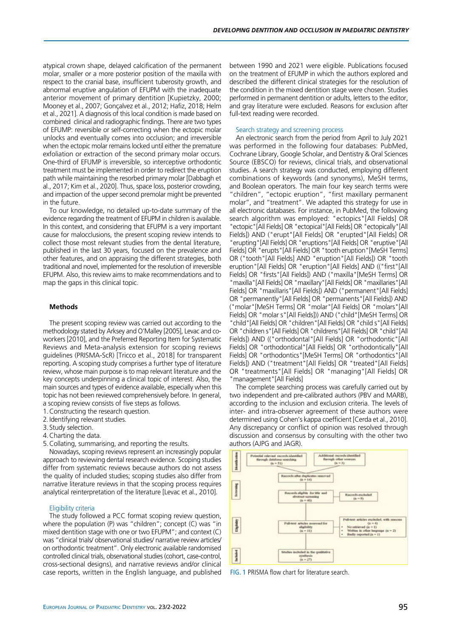atypical crown shape, delayed calcification of the permanent molar, smaller or a more posterior position of the maxilla with respect to the cranial base, insufficient tuberosity growth, and abnormal eruptive angulation of EFUPM with the inadequate anterior movement of primary dentition [Kupietzky, 2000; Mooney et al., 2007; Gonçalvez et al., 2012; Hafiz, 2018; Helm et al., 2021]. A diagnosis of this local condition is made based on combined clinical and radiographic findings. There are two types of EFUMP: reversible or self-correcting when the ectopic molar unlocks and eventually comes into occlusion; and irreversible when the ectopic molar remains locked until either the premature exfoliation or extraction of the second primary molar occurs. One-third of EFUMP is irreversible, so interceptive orthodontic treatment must be implemented in order to redirect the eruption path while maintaining the resorbed primary molar [Dabbagh et al., 2017; Kim et al., 2020]. Thus, space loss, posterior crowding, and impaction of the upper second premolar might be prevented in the future.

To our knowledge, no detailed up-to-date summary of the evidence regarding the treatment of EFUPM in children is available. In this context, and considering that EFUPM is a very important cause for malocclusions, the present scoping review intends to collect those most relevant studies from the dental literature, published in the last 30 years, focused on the prevalence and other features, and on appraising the different strategies, both traditional and novel, implemented for the resolution of irreversible EFUPM. Also, this review aims to make recommendations and to map the gaps in this clinical topic.

## **Methods**

The present scoping review was carried out according to the methodology stated by Arksey and O'Malley [2005], Levac and coworkers [2010], and the Preferred Reporting Item for Systematic Reviews and Meta-analysis extension for scoping reviews guidelines (PRISMA-ScR) [Tricco et al., 2018] for transparent reporting. A scoping study comprises a further type of literature review, whose main purpose is to map relevant literature and the key concepts underpinning a clinical topic of interest. Also, the main sources and types of evidence available, especially when this topic has not been reviewed comprehensively before. In general, a scoping review consists of five steps as follows.

- 1.Constructing the research question.
- 2.Identifying relevant studies.
- 3.Study selection.
- 4.Charting the data.
- 5.Collating, summarising, and reporting the results.

Nowadays, scoping reviews represent an increasingly popular approach to reviewing dental research evidence. Scoping studies differ from systematic reviews because authors do not assess the quality of included studies; scoping studies also differ from narrative literature reviews in that the scoping process requires analytical reinterpretation of the literature [Levac et al., 2010].

## Eligibility criteria

The study followed a PCC format scoping review question, where the population (P) was "children"; concept (C) was "in mixed dentition stage with one or two EFUPM"; and context (C) was "clinical trials/ observational studies/ narrative review articles/ on orthodontic treatment". Only electronic available randomised controlled clinical trials, observational studies (cohort, case-control, cross-sectional designs), and narrative reviews and/or clinical case reports, written in the English language, and published between 1990 and 2021 were eligible. Publications focused on the treatment of EFUMP in which the authors explored and described the different clinical strategies for the resolution of the condition in the mixed dentition stage were chosen. Studies performed in permanent dentition or adults, letters to the editor, and gray literature were excluded. Reasons for exclusion after full-text reading were recorded.

#### Search strategy and screening process

An electronic search from the period from April to July 2021 was performed in the following four databases: PubMed, Cochrane Library, Google Scholar, and Dentistry & Oral Sciences Source (EBSCO) for reviews, clinical trials, and observational studies. A search strategy was conducted, employing different combinations of keywords (and synonyms), MeSH terms, and Boolean operators. The main four key search terms were "children", "ectopic eruption", "first maxillary permanent molar", and "treatment". We adapted this strategy for use in all electronic databases. For instance, in PubMed, the following search algorithm was employed: "ectopics"[All Fields] OR "ectopic"[All Fields] OR "ectopical"[All Fields] OR "ectopically"[All Fields]) AND ("erupt"[All Fields] OR "erupted"[All Fields] OR "erupting"[All Fields] OR "eruptions"[All Fields] OR "eruptive"[All Fields] OR "erupts"[All Fields] OR "tooth eruption"[MeSH Terms] OR ("tooth"[All Fields] AND "eruption"[All Fields]) OR "tooth eruption"[All Fields] OR "eruption"[All Fields] AND (("first"[All Fields] OR "firsts"[All Fields]) AND ("maxilla"[MeSH Terms] OR "maxilla"[All Fields] OR "maxillary"[All Fields] OR "maxillaries"[All Fields] OR "maxillaris"[All Fields]) AND ("permanent"[All Fields] OR "permanently"[All Fields] OR "permanents"[All Fields]) AND ("molar"[MeSH Terms] OR "molar"[All Fields] OR "molars"[All Fields] OR "molar s"[All Fields])) AND ("child"[MeSH Terms] OR "child"[All Fields] OR "children"[All Fields] OR "child s"[All Fields] OR "children s"[All Fields] OR "childrens"[All Fields] OR "child"[All Fields]) AND (("orthodontal"[All Fields] OR "orthodontic"[All Fields] OR "orthodontical"[All Fields] OR "orthodontically"[All Fields] OR "orthodontics"[MeSH Terms] OR "orthodontics"[All Fields]) AND ("treatment"[All Fields] OR "treated"[All Fields] OR "treatments"[All Fields] OR "managing"[All Fields] OR "management"[All Fields]

The complete searching process was carefully carried out by two independent and pre-calibrated authors (PBV and MARB), according to the inclusion and exclusion criteria. The levels of inter- and intra-observer agreement of these authors were determined using Cohen's kappa coefficient [Cerda et al., 2010]. Any discrepancy or conflict of opinion was resolved through discussion and consensus by consulting with the other two authors (AJPG and JAGR).



FIG. 1 PRISMA flow chart for literature search.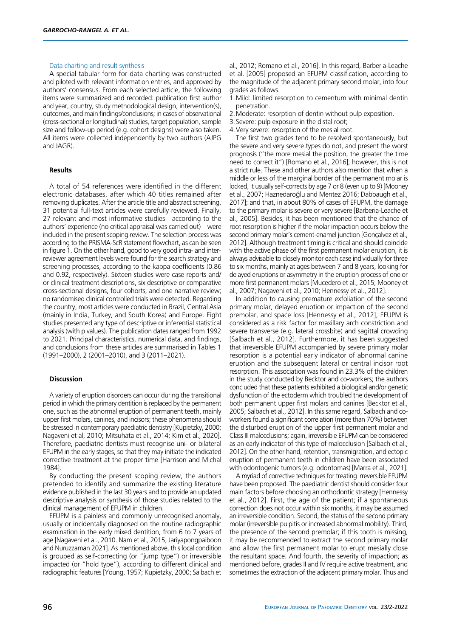## Data charting and result synthesis

A special tabular form for data charting was constructed and piloted with relevant information entries, and approved by authors' consensus. From each selected article, the following items were summarized and recorded: publication first author and year, country, study methodological design, intervention(s), outcomes, and main findings/conclusions; in cases of observational (cross-sectional or longitudinal) studies, target population, sample size and follow-up period (e.g. cohort designs) were also taken. All items were collected independently by two authors (AJPG and JAGR).

#### **Results**

A total of 54 references were identified in the different electronic databases, after which 40 titles remained after removing duplicates. After the article title and abstract screening, 31 potential full-text articles were carefully reviewed. Finally, 27 relevant and most informative studies—according to the authors' experience (no critical appraisal was carried out)—were included in the present scoping review. The selection process was according to the PRISMA-ScR statement flowchart, as can be seen in figure 1. On the other hand, good to very good intra- and interreviewer agreement levels were found for the search strategy and screening processes, according to the kappa coefficients (0.86 and 0.92, respectively). Sixteen studies were case reports and/ or clinical treatment descriptions, six descriptive or comparative cross-sectional designs, four cohorts, and one narrative review; no randomised clinical controlled trials were detected. Regarding the country, most articles were conducted in Brazil, Central Asia (mainly in India, Turkey, and South Korea) and Europe. Eight studies presented any type of descriptive or inferential statistical analysis (with p values). The publication dates ranged from 1992 to 2021. Principal characteristics, numerical data, and findings, and conclusions from these articles are summarised in Tables 1 (1991–2000), 2 (2001–2010), and 3 (2011–2021).

#### **Discussion**

A variety of eruption disorders can occur during the transitional period in which the primary dentition is replaced by the permanent one, such as the abnormal eruption of permanent teeth, mainly upper first molars, canines, and incisors; these phenomena should be stressed in contemporary paediatric dentistry [Kupietzky, 2000; Nagaveni et al, 2010; Mitsuhata et al., 2014; Kim et al., 2020]. Therefore, paediatric dentists must recognise uni- or bilateral EFUPM in the early stages, so that they may initiate the indicated corrective treatment at the proper time [Harrison and Michal 1984].

By conducting the present scoping review, the authors pretended to identify and summarize the existing literature evidence published in the last 30 years and to provide an updated descriptive analysis or synthesis of those studies related to the clinical management of EFUPM in children.

EFUPM is a painless and commonly unrecognised anomaly, usually or incidentally diagnosed on the routine radiographic examination in the early mixed dentition, from 6 to 7 years of age [Nagaveni et al., 2010. Nam et al., 2015; Jariyapongpaiboon and Nuruzzaman 2021]. As mentioned above, this local condition is grouped as self-correcting (or "jump type") or irreversible impacted (or "hold type"), according to different clinical and radiographic features [Young, 1957; Kupietzky, 2000; Salbach et al., 2012; Romano et al., 2016]. In this regard, Barberia-Leache et al. [2005] proposed an EFUPM classification, according to the magnitude of the adjacent primary second molar, into four grades as follows.

1.Mild: limited resorption to cementum with minimal dentin penetration.

- 2.Moderate: resorption of dentin without pulp exposition.
- 3.Severe: pulp exposure in the distal root;
- 4.Very severe: resorption of the mesial root.

The first two grades tend to be resolved spontaneously, but the severe and very severe types do not, and present the worst prognosis ("the more mesial the position, the greater the time need to correct it") [Romano et al., 2016]; however, this is not a strict rule. These and other authors also mention that when a middle or less of the marginal border of the permanent molar is locked, it usually self-corrects by age 7 or 8 (even up to 9) [Mooney et al., 2007; Haznedaroğlu and Mentez 2016; Dabbaugh et al., 2017]; and that, in about 80% of cases of EFUPM, the damage to the primary molar is severe or very severe [Barberia-Leache et al., 2005]. Besides, it has been mentioned that the chance of root resorption is higher if the molar impaction occurs below the second primary molar's cement-enamel junction [Gonçalvez et al., 2012]. Although treatment timing is critical and should coincide with the active phase of the first permanent molar eruption, it is always advisable to closely monitor each case individually for three to six months, mainly at ages between 7 and 8 years, looking for delayed eruptions or asymmetry in the eruption process of one or more first permanent molars [Mucedero et al., 2015; Mooney et al., 2007; Nagaveni et al., 2010; Hennessy et al., 2012].

In addition to causing premature exfoliation of the second primary molar, delayed eruption or impaction of the second premolar, and space loss [Hennessy et al., 2012], EFUPM is considered as a risk factor for maxillary arch constriction and severe transverse (e.g. lateral crossbite) and sagittal crowding [Salbach et al., 2012]. Furthermore, it has been suggested that irreversible EFUPM accompanied by severe primary molar resorption is a potential early indicator of abnormal canine eruption and the subsequent lateral or central incisor root resorption. This association was found in 23.3% of the children in the study conducted by Becktor and co-workers; the authors concluded that these patients exhibited a biological and/or genetic dysfunction of the ectoderm which troubled the development of both permanent upper first molars and canines [Becktor et al., 2005; Salbach et al., 2012]. In this same regard, Salbach and coworkers found a significant correlation (more than 70%) between the disturbed eruption of the upper first permanent molar and Class III malocclusions; again, irreversible EFUPM can be considered as an early indicator of this type of malocclusion [Salbach et al., 2012]. On the other hand, retention, transmigration, and ectopic eruption of permanent teeth in children have been associated with odontogenic tumors (e.g. odontomas) [Marra et al., 2021].

A myriad of corrective techniques for treating irreversible EFUPM have been proposed. The paediatric dentist should consider four main factors before choosing an orthodontic strategy [Hennessy et al., 2012]. First, the age of the patient; if a spontaneous correction does not occur within six months, it may be assumed an irreversible condition. Second, the status of the second primary molar (irreversible pulpitis or increased abnormal mobility). Third, the presence of the second premolar; if this tooth is missing, it may be recommended to extract the second primary molar and allow the first permanent molar to erupt mesially close the resultant space. And fourth, the severity of impaction; as mentioned before, grades II and IV require active treatment, and sometimes the extraction of the adjacent primary molar. Thus and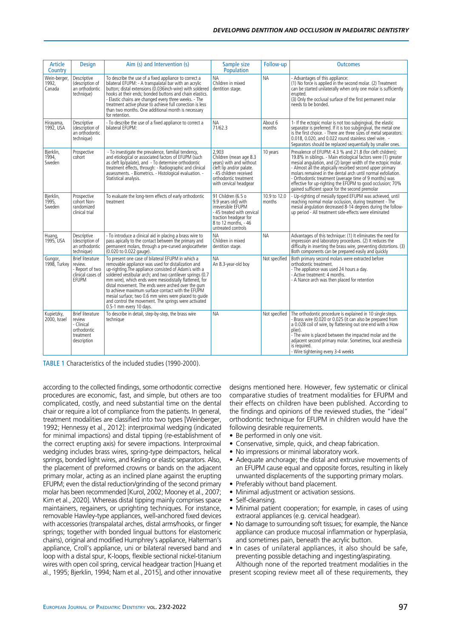| <b>Article</b><br>Country       | <b>Design</b>                                                                              | Aim (s) and Intervention (s)                                                                                                                                                                                                                                                                                                                                                                                                                                                                                                                   | Sample size<br>Population                                                                                                                                            | Follow-up              | <b>Outcomes</b>                                                                                                                                                                                                                                                                                                                                                                                                                                                                                      |
|---------------------------------|--------------------------------------------------------------------------------------------|------------------------------------------------------------------------------------------------------------------------------------------------------------------------------------------------------------------------------------------------------------------------------------------------------------------------------------------------------------------------------------------------------------------------------------------------------------------------------------------------------------------------------------------------|----------------------------------------------------------------------------------------------------------------------------------------------------------------------|------------------------|------------------------------------------------------------------------------------------------------------------------------------------------------------------------------------------------------------------------------------------------------------------------------------------------------------------------------------------------------------------------------------------------------------------------------------------------------------------------------------------------------|
| Wein-berger,<br>1992,<br>Canada | Descriptive<br>(description of<br>an orthodontic<br>technique)                             | To describe the use of a fixed appliance to correct a<br>bilateral EFUPM: - A transpalatal bar with an acrylic<br>button; distal extensions (0.036inch-wire) with soldered<br>hooks at their ends; bonded buttons and chain elastics.<br>- Elastic chains are changed every three weeks. - The<br>treatment active phase to achieve full correction is less<br>than two months. One additional month is necessary<br>for retention.                                                                                                            | ΝA<br>Children in mixed<br>dentition stage.                                                                                                                          | <b>NA</b>              | - Advantages of this appliance:<br>(1) No force is applied in the second molar. (2) Treatment<br>can be started unilaterally when only one molar is sufficiently<br>erupted.<br>(3) Only the occlusal surface of the first permanent molar<br>needs to be bonded.                                                                                                                                                                                                                                    |
| Hirayama,<br>1992, USA          | Descriptive<br>(description of<br>an orthodontic<br>technique)                             | - To describe the use of a fixed appliance to correct a<br>bilateral EFUPM:                                                                                                                                                                                                                                                                                                                                                                                                                                                                    | NA<br>71/62.3                                                                                                                                                        | About 6<br>months      | 1- If the ectopic molar is not too subgingival, the elastic<br>separator is preferred. If it is too subgingival, the metal one<br>is the first choice. - There are three sizes of metal separators:<br>0.018, 0.020, and 0.022 round stainless steel wire. -<br>Separators should be replaced sequentially by smaller ones.                                                                                                                                                                          |
| Bjerklin,<br>1994,<br>Sweden    | Prospective<br>cohort                                                                      | - To investigate the prevalence, familial tendency,<br>and etiological or associated factors of EFUPM (such<br>as cleft lip/palate), and - To determine orthodontic<br>treatment effects, through: - Radiographic and clinical<br>assessments. - Biometrics. - Histological evaluation. -<br>Statistical analysis.                                                                                                                                                                                                                             | 2,903<br>Children (mean age 8.3<br>vears) with and without<br>cleft lip and/or palate.<br>- 45 children received<br>orthodontic treatment<br>with cervical headgear  | 10 years               | Prevalence of EFUPM: 4.3 % and 21.8 (for cleft children):<br>19.8% in siblings. - Main etiological factors were (1) greater<br>mesial angulation, and (2) larger width of the ectopic molar.<br>- Almost all the atypically resorbed second upper primary<br>molars remained in the dental arch until normal exfoliation.<br>- Orthodontic treatment (average time of 9 months) was<br>effective for up-righting the EFUPM to good occlusion; 70%<br>gained sufficient space for the second premolar |
| Bjerklin,<br>1995,<br>Sweden    | Prospective<br>cohort Non-<br>randomized<br>clinical trial                                 | To evaluate the long-term effects of early orthodontic<br>treatment                                                                                                                                                                                                                                                                                                                                                                                                                                                                            | 91 Children (6.5 o<br>9.9 years old) with<br>irreversible EFUPM<br>- 45 treated with cervical<br>traction headgear for<br>8 to 12 months, - 46<br>untreated controls | 10.9 to 12.0<br>months | - Up-righting of mesially tipped EFUPM was achieved, until<br>reaching normal molar occlusion, during treatment - The<br>mesial angulation decreased 8-14 degrees during the follow-<br>up period - All treatment side-effects were eliminated                                                                                                                                                                                                                                                       |
| Huang,<br>1995, USA             | Descriptive<br>(description of<br>an orthodontic<br>technique)                             | - To introduce a clinical aid in placing a brass wire to<br>pass apically to the contact between the primary and<br>permanent molars, through a pre-curved angiocatheter<br>(0.020 to 0.022 gauge).                                                                                                                                                                                                                                                                                                                                            | <b>NA</b><br>Children in mixed<br>dentition stage.                                                                                                                   | <b>NA</b>              | Advantages of this technique: (1) It eliminates the need for<br>impression and laboratory procedures. (2) It reduces the<br>difficulty in inserting the brass wire, preventing distortions. (3)<br>Both components can be prepared easily and quickly                                                                                                                                                                                                                                                |
| Gungor,<br>1998, Turkey         | <b>Brief literature</b><br>review.<br>- Report of two<br>clinical cases of<br>EFUPM        | To present one case of bilateral EFUPM in which a<br>removable appliance was used for distalization and<br>up-righting. The appliance consisted of Adam's with a<br>soldered vestibular arch; and two cantilever springs (0.7<br>mm wire), which ends were mesiodistally flattened, for<br>distal movement. The ends were arched over the gum<br>to achieve maximum surface contact with the EFUPM<br>mesial surface; two 0.6 mm wires were placed to quide<br>and control the movement. The springs were activated<br>0.5-1 mm every 10 days. | ΝA<br>An 8.3-year-old boy                                                                                                                                            | Not specified          | Both primary second molars were extracted before<br>orthodontic treatment.<br>- The appliance was used 24 hours a day.<br>- Active treatment: 4 months.<br>- A Nance arch was then placed for retention                                                                                                                                                                                                                                                                                              |
| Kupietzky,<br>2000, Israel      | <b>Brief literature</b><br>review<br>- Clinical<br>orthodontic<br>treatment<br>description | To describe in detail, step-by-step, the brass wire<br>technique                                                                                                                                                                                                                                                                                                                                                                                                                                                                               | <b>ΝΑ</b>                                                                                                                                                            | Not specified          | The orthodontic procedure is explained in 10 single steps.<br>- Brass wire (0.020 or 0.025 (it can also be prepared from<br>a 0.028 coil of wire, by flattening out one end with a How<br>plier).<br>- The wire is placed between the impacted molar and the<br>adjacent second primary molar. Sometimes, local anesthesia<br>is required.<br>- Wire tightening every 3-4 weeks                                                                                                                      |

TABLE 1 Characteristics of the included studies (1990-2000).

according to the collected findings, some orthodontic corrective procedures are economic, fast, and simple, but others are too complicated, costly, and need substantial time on the dental chair or require a lot of compliance from the patients. In general, treatment modalities are classified into two types [Weinberger, 1992; Hennessy et al., 2012]: interproximal wedging (indicated for minimal impactions) and distal tipping (re-establishment of the correct erupting axis) for severe impactions. Interproximal wedging includes brass wires, spring-type deimpactors, helical springs, bonded light wires, and Kesling or elastic separators. Also, the placement of preformed crowns or bands on the adjacent primary molar, acting as an inclined plane against the erupting EFUPM; even the distal reduction/grinding of the second primary molar has been recommended [Kurol, 2002; Mooney et al., 2007; Kim et al., 2020]. Whereas distal tipping mainly comprises space maintainers, regainers, or uprighting techniques. For instance, removable Hawley-type appliances, well-anchored fixed devices with accessories (transpalatal arches, distal arms/hooks, or finger springs; together with bonded lingual buttons for elastomeric chains), original and modified Humphrey's appliance, Halterman's appliance, Croll's appliance, uni or bilateral reversed band and loop with a distal spur, K-loops, flexible sectional nickel-titanium wires with open coil spring, cervical headgear traction [Huang et al., 1995; Bjerklin, 1994; Nam et al., 2015], and other innovative designs mentioned here. However, few systematic or clinical comparative studies of treatment modalities for EFUPM and their effects on children have been published. According to the findings and opinions of the reviewed studies, the "ideal" orthodontic technique for EFUPM in children would have the following desirable requirements.

- Be performed in only one visit.
- Conservative, simple, quick, and cheap fabrication.
- No impressions or minimal laboratory work.
- Adequate anchorage; the distal and extrusive movements of an EFUPM cause equal and opposite forces, resulting in likely unwanted displacements of the supporting primary molars.
- Preferably without band placement.
- Minimal adjustment or activation sessions.
- Self-cleansing.
- Minimal patient cooperation; for example, in cases of using extraoral appliances (e.g. cervical headgear).
- No damage to surrounding soft tissues; for example, the Nance appliance can produce mucosal inflammation or hyperplasia, and sometimes pain, beneath the acrylic button.
- In cases of unilateral appliances, it also should be safe, preventing possible detaching and ingesting/aspirating.

Although none of the reported treatment modalities in the present scoping review meet all of these requirements, they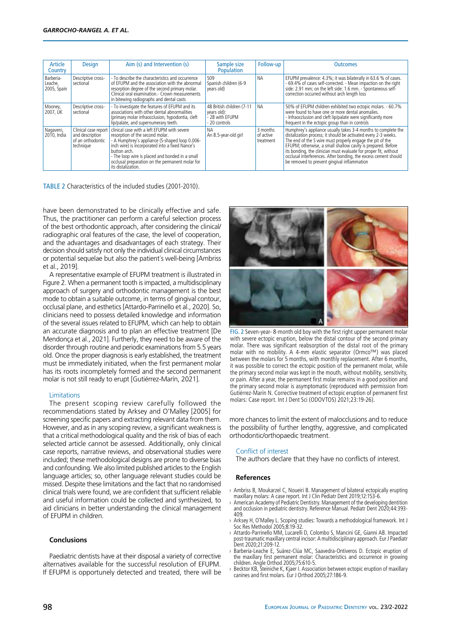| Article<br>Country                  | <b>Design</b>                                                             | Aim (s) and Intervention (s)                                                                                                                                                                                                                                                                                                    | Sample size<br><b>Population</b>                                             | Follow-up                          | <b>Outcomes</b>                                                                                                                                                                                                                                                                                                                                                                                                                                    |
|-------------------------------------|---------------------------------------------------------------------------|---------------------------------------------------------------------------------------------------------------------------------------------------------------------------------------------------------------------------------------------------------------------------------------------------------------------------------|------------------------------------------------------------------------------|------------------------------------|----------------------------------------------------------------------------------------------------------------------------------------------------------------------------------------------------------------------------------------------------------------------------------------------------------------------------------------------------------------------------------------------------------------------------------------------------|
| Barberia-<br>Leache,<br>2005, Spain | Descriptive cross-<br>sectional                                           | - To describe the characteristics and occurrence<br>of EFUPM and the association with the abnormal<br>resorption degree of the second primary molar.<br>Clinical oral examination - Crown measurements<br>in bitewing radiographs and dental casts                                                                              | 509<br>Spanish children (6-9<br>years old)                                   | <b>NA</b>                          | EFUPM prevalence: 4.3%; it was bilaterally in 63.6 % of cases.<br>- 69.4% of cases self-corrected. - Mean impaction on the right<br>side: 2.91 mm; on the left side: 1.6 mm. - Spontaneous self-<br>correction occurred without arch length loss                                                                                                                                                                                                   |
| , Mooney,<br>2007, UK               | Descriptive cross-<br>sectional                                           | - To investigate the features of EFUPM and its<br>associations with other dental abnormalities<br>(primary molar infraocclusion, hypodontia, cleft)<br>lip/palate, and supernumerary teeth.                                                                                                                                     | 48 British children (7-11<br>years old):<br>- 28 with EFUPM<br>- 20 controls | <b>NA</b>                          | 50% of EFUPM children exhibited two ectopic molars. - 60.7%<br>were found to have one or more dental anomalies.<br>- Infraocclusion and cleft lip/palate were significantly more<br>frequent in the ectopic group than in controls                                                                                                                                                                                                                 |
| Nagaveni,<br>2010, India            | Clinical case report<br>and description<br>of an orthodontic<br>technique | clinical case with a left EFUPM with severe<br>resorption of the second molar.<br>- A Humphrey's appliance (S-shaped loop 0.006-<br>inch wire) is incorporated into a fixed Nance's<br>button arch.<br>- The loop wire is placed and bonded in a small<br>occlusal preparation on the permanent molar for<br>its distalization. | NА<br>An 8.5-year-old girl                                                   | 3 months<br>of active<br>treatment | Humphrey's appliance usually takes 3-4 months to complete the<br>distalization process; it should be activated every 2-3 weeks.<br>The end of the S wire must properly engage the pit of the<br>EFUPM; otherwise, a small shallow cavity is prepared. Before<br>its bonding, the clinician must evaluate for proper fit, without<br>occlusal interferences. After bonding, the excess cement should<br>be removed to prevent gingival inflammation |

TABLE 2 Characteristics of the included studies (2001-2010).

have been demonstrated to be clinically effective and safe. Thus, the practitioner can perform a careful selection process of the best orthodontic approach, after considering the clinical/ radiographic oral features of the case, the level of cooperation, and the advantages and disadvantages of each strategy. Their decision should satisfy not only the individual clinical circumstances or potential sequelae but also the patient´s well-being [Ambriss et al., 2019].

A representative example of EFUPM treatment is illustrated in Figure 2. When a permanent tooth is impacted, a multidisciplinary approach of surgery and orthodontic management is the best mode to obtain a suitable outcome, in terms of gingival contour, occlusal plane, and esthetics [Attardo-Parrinello et al., 2020]. So, clinicians need to possess detailed knowledge and information of the several issues related to EFUPM, which can help to obtain an accurate diagnosis and to plan an effective treatment [De Mendonça et al., 2021]. Furtherly, they need to be aware of the disorder through routine and periodic examinations from 5.5 years old. Once the proper diagnosis is early established, the treatment must be immediately initiated, when the first permanent molar has its roots incompletely formed and the second permanent molar is not still ready to erupt [Gutiérrez-Marín, 2021].

#### Limitations

The present scoping review carefully followed the recommendations stated by Arksey and O'Malley [2005] for screening specific papers and extracting relevant data from them. However, and as in any scoping review, a significant weakness is that a critical methodological quality and the risk of bias of each selected article cannot be assessed. Additionally, only clinical case reports, narrative reviews, and observational studies were included; these methodological designs are prone to diverse bias and confounding. We also limited published articles to the English language articles; so, other language relevant studies could be missed. Despite these limitations and the fact that no randomised clinical trials were found, we are confident that sufficient reliable and useful information could be collected and synthesized, to aid clinicians in better understanding the clinical management of EFUPM in children.

#### **Conclusions**

Paediatric dentists have at their disposal a variety of corrective alternatives available for the successful resolution of EFUPM. If EFUPM is opportunely detected and treated, there will be



FIG. 2 Seven-year- 8-month old boy with the first right upper permanent molar with severe ectopic eruption, below the distal contour of the second primary molar. There was significant reabsorption of the distal root of the primary molar with no mobility. A 4-mm elastic separator (Ormco™) was placed between the molars for 5 months, with monthly replacement. After 6 months, it was possible to correct the ectopic position of the permanent molar, while the primary second molar was kept in the mouth, without mobility, sensitivity, or pain. After a year, the permanent first molar remains in a good position and the primary second molar is asymptomatic (reproduced with permission from Gutiérrez-Marín N. Corrective treatment of ectopic eruption of permanent first molars: Case report. Int J Dent Sci (ODOVTOS) 2021;23:19-26).

more chances to limit the extent of malocclusions and to reduce the possibility of further lengthy, aggressive, and complicated orthodontic/orthopaedic treatment.

#### Conflict of interest

The authors declare that they have no conflicts of interest.

### **References**

- › Ambriss B, Moukarzel C, Noueiri B. Management of bilateral ectopically erupting maxillary molars: A case report. Int J Clin Pediatr Dent 2019;12:153-6.
- › American Academy of Pediatric Dentistry. Management of the developing dentition and occlusion in pediatric dentistry. Reference Manual. Pediatr Dent 2020;44:393- 409.
- › Arksey H, O'Malley L. Scoping studies: Towards a methodological framework. Int J Soc Res Methodol 2005;8:19-32.
- › Attardo-Parrinello MM, Lucarelli D, Colombo S, Mancini GE, Gianni AB. Impacted post-traumatic maxillary central incisor: A multidisciplinary approach. Eur J Paediatr Dent 2020;21:209-12.
- › Barberia-Leache E, Suárez-Clúa MC, Saavedra-Ontiveros D. Ectopic eruption of the maxillary first permanent molar: Characteristics and occurrence in growing children. Angle Orthod 2005;75:610-5.
- › Becktor KB, Steiniche K, Kjaer I. Association between ectopic eruption of maxillary canines and first molars. Eur J Orthod 2005;27:186-9.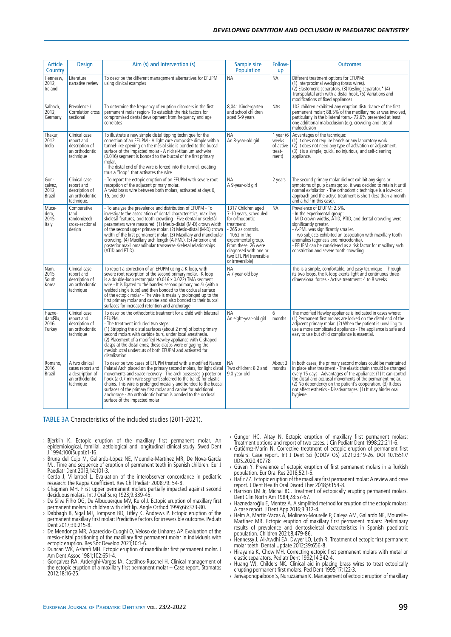| Article<br>Country                    | <b>Design</b>                                                                         | Aim (s) and Intervention (s)                                                                                                                                                                                                                                                                                                                                                                                                                                                                                                                                   | Sample size<br><b>Population</b>                                                                                                                                                                                                        | Follow-<br><b>up</b>                                  | <b>Outcomes</b>                                                                                                                                                                                                                                                                                                                                                                                            |
|---------------------------------------|---------------------------------------------------------------------------------------|----------------------------------------------------------------------------------------------------------------------------------------------------------------------------------------------------------------------------------------------------------------------------------------------------------------------------------------------------------------------------------------------------------------------------------------------------------------------------------------------------------------------------------------------------------------|-----------------------------------------------------------------------------------------------------------------------------------------------------------------------------------------------------------------------------------------|-------------------------------------------------------|------------------------------------------------------------------------------------------------------------------------------------------------------------------------------------------------------------------------------------------------------------------------------------------------------------------------------------------------------------------------------------------------------------|
| Hennessy,<br>2012,<br>Ireland         | Literature<br>narrative review                                                        | To describe the different management alternatives for EFUPM<br>using clinical examples                                                                                                                                                                                                                                                                                                                                                                                                                                                                         | <b>NA</b>                                                                                                                                                                                                                               | <b>NA</b>                                             | Different treatment options for EFUPM:<br>(1) Interproximal wedging (brass wires).<br>(2) Elastomeric separators. (3) Kesling separator.* (4)<br>Transpalatal arch with a distal hook. (5) Variations and<br>modifications of fixed appliances                                                                                                                                                             |
| Salbach,<br>2012,<br>Germany          | Prevalence /<br>Correlation cross<br>sectional                                        | To determine the frequency of eruption disorders in the first<br>permanent molar region- To establish the risk factors for<br>compromised dental development from frequency and age<br>correlates                                                                                                                                                                                                                                                                                                                                                              | 8.041 Kindergarten<br>and school children<br>aged 5-9 years                                                                                                                                                                             | <b>NAs</b>                                            | 102 children exhibited any eruption disturbance of the first<br>permanent molar; 88.5% of the maxillary molar was involved,<br>particularly in the bilateral form. - 72.6% presented at least<br>one additional malocclusion (e.g. crowding and lateral<br>malocclusion                                                                                                                                    |
| Thakur,<br>2012,<br>India             | Clinical case<br>report and<br>description of<br>an orthodontic<br>technique          | To illustrate a new simple distal tipping technique for the<br>correction of an EFUPM - A light cure composite dimple with a<br>tunnel-like opening on the mesial side is bonded to the buccal<br>surface of the impacted molar - A nickel-titanium archwire<br>(0.016) segment is bonded to the buccal of the first primary<br>molar.<br>- The distal end of the wire is forced into the tunnel, creating<br>thus a "loop" that activates the wire                                                                                                            | <b>NA</b><br>An 8-year-old girl                                                                                                                                                                                                         | 1 year ( $6$<br>weeks<br>of active<br>treat-<br>ment) | Advantages of the technique:<br>(1) It does not require bands or any laboratory work.<br>(2) It does not need any type of activation or adjustment.<br>(3) It is a simple, quick, no injurious, and self-cleaning<br>appliance.                                                                                                                                                                            |
| Gon-<br>çalvez,<br>2012,<br>Brazil    | Clinical case<br>report and<br>description of<br>an orthodontic<br>technique.         | - To report the ectopic eruption of an EFUPM with severe root<br>resorption of the adjacent primary molar.<br>A twist brass wire between both molars, activated at days 0,<br>15, and 30                                                                                                                                                                                                                                                                                                                                                                       | <b>NA</b><br>A 9-year-old girl                                                                                                                                                                                                          | 2 years                                               | The second primary molar did not exhibit any signs or<br>symptoms of pulp damage; so, it was decided to retain it until<br>normal exfoliation - The orthodontic technique is a low-cost<br>approach and the active treatment is short (less than a month<br>and a half in this case).                                                                                                                      |
| Muce-<br>dero,<br>2015,<br>Italy      | Comparative<br>(and<br>randomized)<br>cross-sectional<br>design                       | - To analyze the prevalence and distribution of EFUPM - To<br>investigate the association of dental characteristics, maxillary<br>skeletal features, and tooth crowding - Five dental or skeletal<br>parameters were measured: (1) Mesio-distal (M-D) crown width<br>of the second upper primary molar. (2) Mesio-distal (M-D) crown<br>width of the first permanent molar. (3) Maxillary and mandibular<br>crowding. (4) Maxillary arch length (A-PML). (5) Anterior and<br>posterior maxillomandibular transverse skeletal relationships<br>(ATID and PTID). | 1317 Children aged<br>7-10 years, scheduled<br>for orthodontic<br>treatment:<br>- 265 as controls.<br>- 1052 in the<br>experimental group.<br>From these, 26 were<br>diagnosed with one or<br>two EFUPM (reversible<br>or irreversible) | <b>NA</b>                                             | Prevalence of EFUPM: 2.5%.<br>- In the experimental group:<br>- M-D crown widths, ATID, PTID, and dental crowding were<br>significantly greater.<br>- A-PML was significantly smaller.<br>- Two subjects exhibited an association with maxillary tooth<br>anomalies (agenesis and microdontia).<br>- EFUPM can be considered as a risk factor for maxillary arch<br>constriction and severe tooth crowding |
| Nam,<br>2015,<br>South<br>Korea       | Clinical case<br>report and<br>description of<br>an orthodontic<br>technique          | To report a correction of an EFUPM using a K-loop, with<br>severe root resorption of the second primary molar.- K-loop<br>is a double-loop rectangular (0.016 x 0.022) TMA segment<br>wire - It is ligated to the banded second primary molar (with a<br>welded single tube) and then bonded to the occlusal surface<br>of the ectopic molar - The wire is mesially prolonged up to the<br>first primary molar and canine and also bonded to their buccal<br>surfaces for increased retention and anchorage                                                    | <b>NA</b><br>A 7-year-old boy                                                                                                                                                                                                           |                                                       | This is a simple, comfortable, and easy technique - Through<br>its two loops, the K-loop exerts light and continuous three-<br>dimensional forces - Active treatment: 4 to 8 weeks                                                                                                                                                                                                                         |
| Hazne-<br>daro lu.<br>2016,<br>Turkey | Clinical case<br>report and<br>description of<br>an orthodontic<br>technique          | To describe the orthodontic treatment for a child with bilateral<br>EFUPM.<br>- The treatment included two steps:<br>(1) Stripping the distal surfaces (about 2 mm) of both primary<br>second molars with carbide burs, under local anesthesia.<br>(2) Placement of a modified Hawley appliance with C-shaped<br>clasps at the distal ends; these clasps were engaging the<br>mesiobuccal undercuts of both EFUPM and activated for<br>distalization                                                                                                           | <b>NA</b><br>An eight-year-old girl                                                                                                                                                                                                     | 6<br>months                                           | The modified Hawley appliance is indicated in cases where:<br>(1) Permanent first molars are locked on the distal end of the<br>adjacent primary molar. (2) When the patient is unwilling to<br>use a more complicated appliance - The appliance is safe and<br>easy to use but child compliance is essential.                                                                                             |
| Romano,<br>2016,<br>Brazil            | A two clinical<br>cases report and<br>a description of<br>an orthodontic<br>technique | To describe two cases of EFUPM treated with a modified Nance<br>Palatal Arch placed on the primary second molars, for light distal<br>movements and space recovery - The arch possesses a posterior<br>hook (a 0.7 mm wire segment soldered to the band) for elastic<br>chains. This wire is prolonged mesially and bonded to the buccal<br>surfaces of the primary first molar and canine for additional<br>anchorage - An orthodontic button is bonded to the occlusal<br>surface of the impacted molar                                                      | NΑ<br>Two children: 8.2 and<br>9.0-year-old                                                                                                                                                                                             | About 3<br>months                                     | In both cases, the primary second molars could be maintained<br>in place after treatment - The elastic chain should be changed<br>every 15 days - Advantages of the appliance: (1) It can control<br>the distal and occlusal movements of the permanent molar.<br>(2) No dependency on the patient's cooperation. (3) It does<br>not affect esthetics - Disadvantages: (1) It may hinder oral<br>hygiene   |

TABLE 3A Characteristics of the included studies (2011-2021).

- › Bjerklin K. Ectopic eruption of the maxillary first permanent molar. An epidemiological, familial, aetiological and longitudinal clinical study. Swed Dent J 1994;100(Suppl):1-16.
- › Bruna del Cojo M, Gallardo-López NE, Mourelle-Martínez MR, De Nova-García MJ. Time and sequence of eruption of permanent teeth in Spanish children. Eur J Paediatr Dent 2013;14:101-3.
- › Cerda J, Villarroel L. Evaluation of the interobserver concordance in pediatric research: the Kappa Coefficient. Rev Chil Pediatr 2008;79: 54-8.
- › Chapman MH. First upper permanent molars partially impacted against second deciduous molars. Int J Oral Surg 1923;9:339-45.
- › Da Silva Filho OG, De Albuquerque MV, Kurol J. Ectopic eruption of maxillary first permanent molars in children with cleft lip. Angle Orthod 1996;66:373-80.
- › Dabbagh B, Sigal MJ, Tompson BD, Titley K, Andrews P. Ectopic eruption of the permanent maxillary first molar: Predictive factors for irreversible outcome. Pediatr Dent 2017;39:215-8.
- › De Mendonça MR, Aparecido-Cuoghi O, Veloso de Linhares AP. Evaluation of the mesio-distal positioning of the maxillary first permanent molar in individuals with ectopic eruption. Res Soc Develop 2021;10:1-6.
- › Duncan WK, Ashrafi MH. Ectopic eruption of mandibular first permanent molar. J Am Dent Assoc 1981;102:651-4.
- › Gonçalvez RA, Ardenghi-Vargas IA, Castilhos-Ruschel H. Clinical management of the ectopic eruption of a maxillary first permanent molar – Case report. Stomatos 2012;18:16-25.
- › Gungor HC, Altay N. Ectopic eruption of maxillary first permanent molars: Treatment options and report of two cases. J Cin Pediatr Dent 1998;22:211-6.
- › Gutiérrez-Marín N. Corrective treatment of ectopic eruption of permanent first molars: Case report. Int J Dent Sci (ODOVTOS) 2021;23:19-26. DOI 10.15517/ IJDS.2020.40778
- Güven Y. Prevalence of ectopic eruption of first permanent molars in a Turkish population. Eur Oral Res 2018;52:1-5.
- › Hafiz ZZ. Ectopic eruption of the maxillary first permanent molar: A review and case report. J Dent Health Oral Disord Ther 2018;9:154-8.
- › Harrison LM Jr, Michal BC. Treatment of ectopically erupting permanent molars. Dent Clin North Am 1984;28:57-67.
- › Haznedaroğlu E, Mentez A. A simplified method for eruption of the ectopic molars: A case report. J Dent App 2016;3:312-4.
- › Helm A, Martin-Vacas A, Molinero-Mourelle P, Caleya AM, Gallardo NE, Mourelle-Martínez MR. Ectopic eruption of maxillary first permanent molars: Preliminary results of prevalence and dentoskeletal characteristics in Spanish paediatric population. Children 2021;8,479-86.
- Hennessy J, Al-Awdhi EA, Dwyer LO, Leth R. Treatment of ectopic first permanent molar teeth. Dental Update 2012;39:656-8.
- › Hirayama K, Chow MH. Correcting ectopic first permanent molars with metal or elastic separators. Pediatr Dent 1992;14:342-4.
- › Huang WJ, Childers NK. Clinical aid in placing brass wires to treat ectopically erupting permanent first molars. Ped Dent 1995;17:122-3.
- › Jariyapongpaiboon S, Nuruzzaman K. Management of ectopic eruption of maxillary